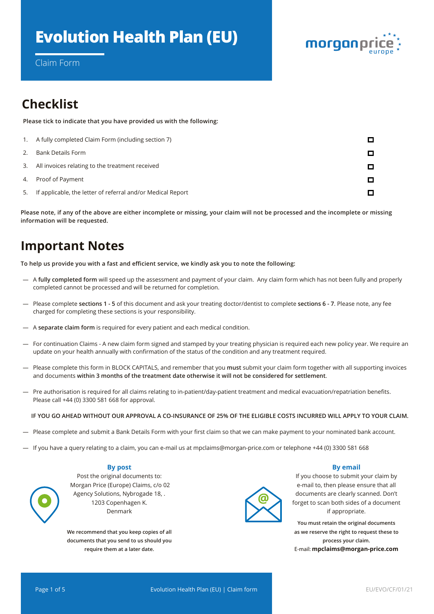# **Evolution Health Plan (EU)**



Claim Form

## **Checklist**

**Please tick to indicate that you have provided us with the following:** 

| 1. | A fully completed Claim Form (including section 7)          |  |
|----|-------------------------------------------------------------|--|
| 2. | Bank Details Form                                           |  |
|    | 3. All invoices relating to the treatment received          |  |
|    | 4. Proof of Payment                                         |  |
| 5. | If applicable, the letter of referral and/or Medical Report |  |

**Please note, if any of the above are either incomplete or missing, your claim will not be processed and the incomplete or missing information will be requested.**

## **Important Notes**

**To help us provide you with a fast and efficient service, we kindly ask you to note the following:**

- A **fully completed form** will speed up the assessment and payment of your claim. Any claim form which has not been fully and properly completed cannot be processed and will be returned for completion.
- Please complete **sections 1 5** of this document and ask your treating doctor/dentist to complete **sections 6 7**. Please note, any fee charged for completing these sections is your responsibility.
- A **separate claim form** is required for every patient and each medical condition.
- For continuation Claims A new claim form signed and stamped by your treating physician is required each new policy year. We require an update on your health annually with confirmation of the status of the condition and any treatment required.
- Please complete this form in BLOCK CAPITALS, and remember that you **must** submit your claim form together with all supporting invoices and documents **within 3 months of the treatment date otherwise it will not be considered for settlement**.
- Pre authorisation is required for all claims relating to in-patient/day-patient treatment and medical evacuation/repatriation benefits. Please call +44 (0) 3300 581 668 for approval.

#### **IF YOU GO AHEAD WITHOUT OUR APPROVAL A CO-INSURANCE OF 25% OF THE ELIGIBLE COSTS INCURRED WILL APPLY TO YOUR CLAIM.**

- Please complete and submit a Bank Details Form with your first claim so that we can make payment to your nominated bank account.
- If you have a query relating to a claim, you can e-mail us at mpclaims@morgan-price.com or telephone +44 (0) 3300 581 668

### **By post**

Post the original documents to: Morgan Price (Europe) Claims, c/o 02 Agency Solutions, Nybrogade 18, . 1203 Copenhagen K. Denmark

**We recommend that you keep copies of all documents that you send to us should you require them at a later date.**



#### **By email**

If you choose to submit your claim by e-mail to, then please ensure that all documents are clearly scanned. Don't forget to scan both sides of a document if appropriate.

**You must retain the original documents as we reserve the right to request these to process your claim.** E-mail: **mpclaims@morgan-price.com**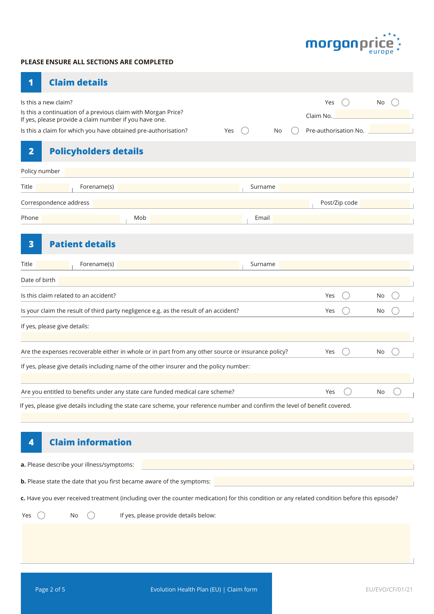

### **PLEASE ENSURE ALL SECTIONS ARE COMPLETED**

| <b>Claim details</b><br>- 1 |
|-----------------------------|
|-----------------------------|

T.

| Is this a new claim?<br>Is this a continuation of a previous claim with Morgan Price?<br>If yes, please provide a claim number if you have one.<br>Is this a claim for which you have obtained pre-authorisation? | Yes | No      | Yes<br>Claim No.<br>Pre-authorisation No. |               | No |  |
|-------------------------------------------------------------------------------------------------------------------------------------------------------------------------------------------------------------------|-----|---------|-------------------------------------------|---------------|----|--|
| $\overline{\mathbf{2}}$<br><b>Policyholders details</b>                                                                                                                                                           |     |         |                                           |               |    |  |
| Policy number                                                                                                                                                                                                     |     |         |                                           |               |    |  |
| Forename(s)<br>Title                                                                                                                                                                                              |     | Surname |                                           |               |    |  |
| Correspondence address                                                                                                                                                                                            |     |         |                                           | Post/Zip code |    |  |
| Phone<br>Mob                                                                                                                                                                                                      |     | Email   |                                           |               |    |  |
| <b>Patient details</b><br>$\overline{\mathbf{3}}$                                                                                                                                                                 |     |         |                                           |               |    |  |
| Title<br>Forename(s)                                                                                                                                                                                              |     | Surname |                                           |               |    |  |
| Date of birth                                                                                                                                                                                                     |     |         |                                           |               |    |  |
| Is this claim related to an accident?                                                                                                                                                                             |     |         | Yes                                       |               | No |  |
| Is your claim the result of third party negligence e.g. as the result of an accident?                                                                                                                             |     |         | Yes                                       |               | No |  |
| If yes, please give details:                                                                                                                                                                                      |     |         |                                           |               |    |  |
|                                                                                                                                                                                                                   |     |         |                                           |               |    |  |
| Are the expenses recoverable either in whole or in part from any other source or insurance policy?                                                                                                                |     |         | Yes                                       |               | No |  |
| If yes, please give details including name of the other insurer and the policy number:                                                                                                                            |     |         |                                           |               |    |  |
| Are you entitled to benefits under any state care funded medical care scheme?                                                                                                                                     |     |         | Yes                                       |               | No |  |
| If yes, please give details including the state care scheme, your reference number and confirm the level of benefit covered.                                                                                      |     |         |                                           |               |    |  |
|                                                                                                                                                                                                                   |     |         |                                           |               |    |  |
| <b>Claim information</b><br>4                                                                                                                                                                                     |     |         |                                           |               |    |  |
| a. Please describe your illness/symptoms:                                                                                                                                                                         |     |         |                                           |               |    |  |
| b. Please state the date that you first became aware of the symptoms:                                                                                                                                             |     |         |                                           |               |    |  |
| c. Have you ever received treatment (including over the counter medication) for this condition or any related condition before this episode?                                                                      |     |         |                                           |               |    |  |
| If yes, please provide details below:<br>No<br>Yes                                                                                                                                                                |     |         |                                           |               |    |  |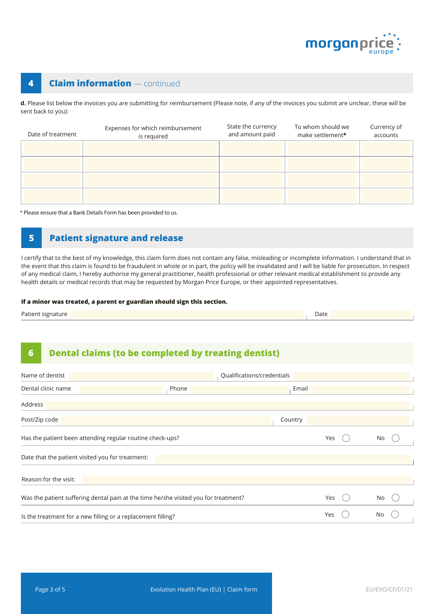

## **4 Claim information** — continued

**d.** Please list below the invoices you are submitting for reimbursement (Please note, if any of the invoices you submit are unclear, these will be sent back to you):

| Date of treatment | Expenses for which reimbursement<br>is required | State the currency<br>and amount paid | To whom should we<br>make settlement* | Currency of<br>accounts |
|-------------------|-------------------------------------------------|---------------------------------------|---------------------------------------|-------------------------|
|                   |                                                 |                                       |                                       |                         |
|                   |                                                 |                                       |                                       |                         |
|                   |                                                 |                                       |                                       |                         |
|                   |                                                 |                                       |                                       |                         |

\* Please ensure that a Bank Details Form has been provided to us.

## **5 Patient signature and release**

I certify that to the best of my knowledge, this claim form does not contain any false, misleading or incomplete information. I understand that in the event that this claim is found to be fraudulent in whole or in part, the policy will be invalidated and I will be liable for prosecution. In respect of any medical claim, I hereby authorise my general practitioner, health professional or other relevant medical establishment to provide any health details or medical records that may be requested by Morgan Price Europe, or their appointed representatives.

### **If a minor was treated, a parent or guardian should sign this section.**

| Patient signature | Date |
|-------------------|------|
|-------------------|------|

## **6 Dental claims (to be completed by treating dentist)**

| Name of dentist                                                                     |       | Qualifications/credentials |    |
|-------------------------------------------------------------------------------------|-------|----------------------------|----|
| Dental clinic name                                                                  | Phone | Email                      |    |
| Address                                                                             |       |                            |    |
| Post/Zip code                                                                       |       | Country                    |    |
| Has the patient been attending regular routine check-ups?                           |       | Yes                        | No |
| Date that the patient visited you for treatment:                                    |       |                            |    |
| Reason for the visit:                                                               |       |                            |    |
| Was the patient suffering dental pain at the time he/she visited you for treatment? |       | Yes                        | No |
| Is the treatment for a new filling or a replacement filling?                        |       | Yes                        | No |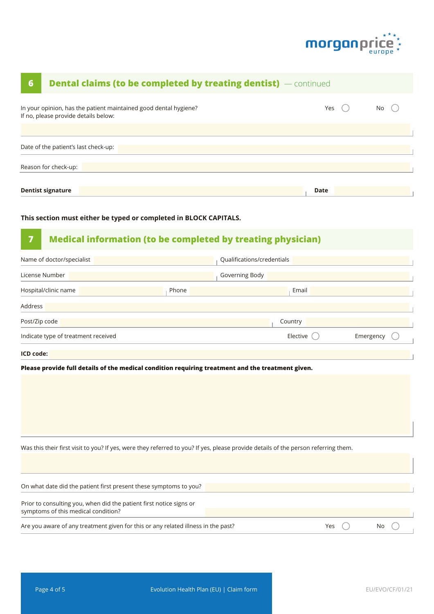

| <b>Dental claims (to be completed by treating dentist)</b> — continued<br>$6\phantom{1}$                                           |       |                            |             |  |           |  |
|------------------------------------------------------------------------------------------------------------------------------------|-------|----------------------------|-------------|--|-----------|--|
| In your opinion, has the patient maintained good dental hygiene?<br>If no, please provide details below:                           |       |                            | Yes         |  | No        |  |
| Date of the patient's last check-up:                                                                                               |       |                            |             |  |           |  |
| Reason for check-up:                                                                                                               |       |                            |             |  |           |  |
| <b>Dentist signature</b>                                                                                                           |       |                            | <b>Date</b> |  |           |  |
| This section must either be typed or completed in BLOCK CAPITALS.                                                                  |       |                            |             |  |           |  |
| $\overline{\mathbf{z}}$<br><b>Medical information (to be completed by treating physician)</b>                                      |       |                            |             |  |           |  |
| Name of doctor/specialist                                                                                                          |       | Qualifications/credentials |             |  |           |  |
| License Number                                                                                                                     |       | Governing Body             |             |  |           |  |
| Hospital/clinic name                                                                                                               | Phone | Email                      |             |  |           |  |
| Address                                                                                                                            |       |                            |             |  |           |  |
| Post/Zip code                                                                                                                      |       | Country                    |             |  |           |  |
| Indicate type of treatment received                                                                                                |       | Elective $\bigcirc$        |             |  | Emergency |  |
| ICD code:                                                                                                                          |       |                            |             |  |           |  |
| Please provide full details of the medical condition requiring treatment and the treatment given.                                  |       |                            |             |  |           |  |
| Was this their first visit to you? If yes, were they referred to you? If yes, please provide details of the person referring them. |       |                            |             |  |           |  |
| On what date did the patient first present these symptoms to you?                                                                  |       |                            |             |  |           |  |
| Prior to consulting you, when did the patient first notice signs or<br>symptoms of this medical condition?                         |       |                            |             |  |           |  |
| Are you aware of any treatment given for this or any related illness in the past?                                                  |       |                            | Yes         |  | No        |  |